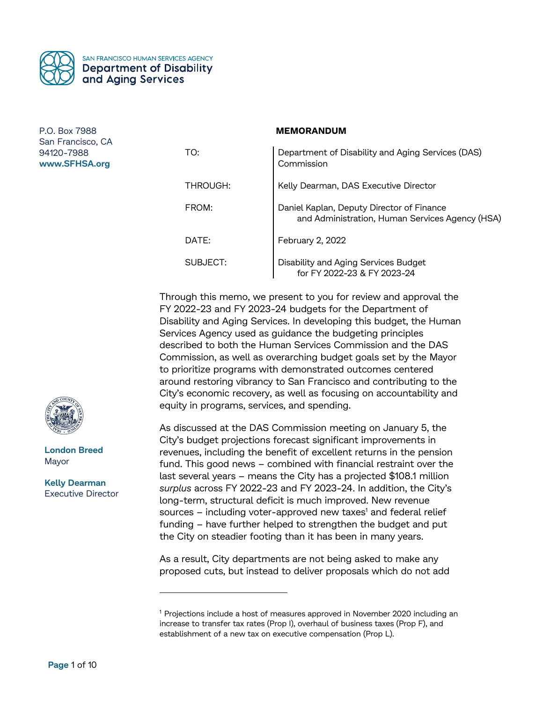

#### **MEMORANDUM**

| TO:      | Department of Disability and Aging Services (DAS)<br>Commission                              |
|----------|----------------------------------------------------------------------------------------------|
| THROUGH: | Kelly Dearman, DAS Executive Director                                                        |
| FROM:    | Daniel Kaplan, Deputy Director of Finance<br>and Administration, Human Services Agency (HSA) |
| DATE:    | February 2, 2022                                                                             |
| SUBJECT: | Disability and Aging Services Budget<br>for FY 2022-23 & FY 2023-24                          |

Through this memo, we present to you for review and approval the FY 2022-23 and FY 2023-24 budgets for the Department of Disability and Aging Services. In developing this budget, the Human Services Agency used as guidance the budgeting principles described to both the Human Services Commission and the DAS Commission, as well as overarching budget goals set by the Mayor to prioritize programs with demonstrated outcomes centered around restoring vibrancy to San Francisco and contributing to the City's economic recovery, as well as focusing on accountability and equity in programs, services, and spending.

As discussed at the DAS Commission meeting on January 5, the City's budget projections forecast significant improvements in revenues, including the benefit of excellent returns in the pension fund. This good news – combined with financial restraint over the last several years – means the City has a projected \$108.1 million *surplus* across FY 2022-23 and FY 2023-24. In addition, the City's long-term, structural deficit is much improved. New revenue sources – including voter-approved new taxes<sup>1</sup> and federal relief funding – have further helped to strengthen the budget and put the City on steadier footing than it has been in many years.

As a result, City departments are not being asked to make any proposed cuts, but instead to deliver proposals which do not add



**London Breed** Mayor

**Kelly Dearman** Executive Director

 $\overline{a}$ 

<sup>&</sup>lt;sup>1</sup> Projections include a host of measures approved in November 2020 including an increase to transfer tax rates (Prop I), overhaul of business taxes (Prop F), and establishment of a new tax on executive compensation (Prop L).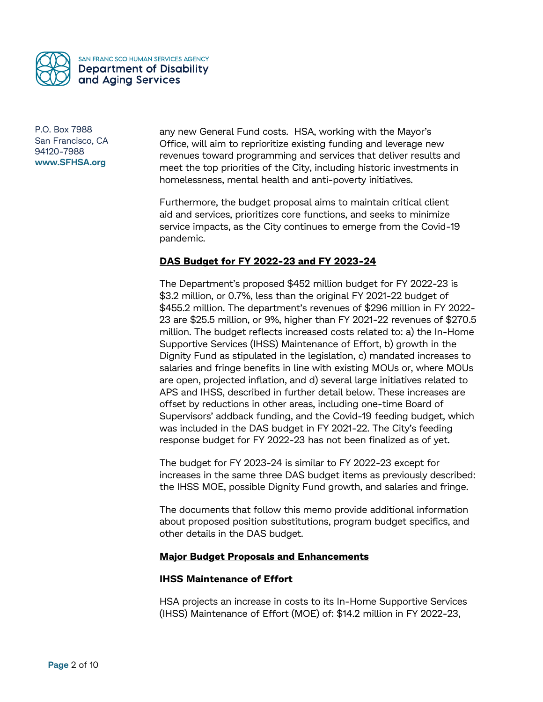

any new General Fund costs. HSA, working with the Mayor's Office, will aim to reprioritize existing funding and leverage new revenues toward programming and services that deliver results and meet the top priorities of the City, including historic investments in homelessness, mental health and anti-poverty initiatives.

Furthermore, the budget proposal aims to maintain critical client aid and services, prioritizes core functions, and seeks to minimize service impacts, as the City continues to emerge from the Covid-19 pandemic.

# **DAS Budget for FY 2022-23 and FY 2023-24**

The Department's proposed \$452 million budget for FY 2022-23 is \$3.2 million, or 0.7%, less than the original FY 2021-22 budget of \$455.2 million. The department's revenues of \$296 million in FY 2022- 23 are \$25.5 million, or 9%, higher than FY 2021-22 revenues of \$270.5 million. The budget reflects increased costs related to: a) the In-Home Supportive Services (IHSS) Maintenance of Effort, b) growth in the Dignity Fund as stipulated in the legislation, c) mandated increases to salaries and fringe benefits in line with existing MOUs or, where MOUs are open, projected inflation, and d) several large initiatives related to APS and IHSS, described in further detail below. These increases are offset by reductions in other areas, including one-time Board of Supervisors' addback funding, and the Covid-19 feeding budget, which was included in the DAS budget in FY 2021-22. The City's feeding response budget for FY 2022-23 has not been finalized as of yet.

The budget for FY 2023-24 is similar to FY 2022-23 except for increases in the same three DAS budget items as previously described: the IHSS MOE, possible Dignity Fund growth, and salaries and fringe.

The documents that follow this memo provide additional information about proposed position substitutions, program budget specifics, and other details in the DAS budget.

### **Major Budget Proposals and Enhancements**

### **IHSS Maintenance of Effort**

HSA projects an increase in costs to its In-Home Supportive Services (IHSS) Maintenance of Effort (MOE) of: \$14.2 million in FY 2022-23,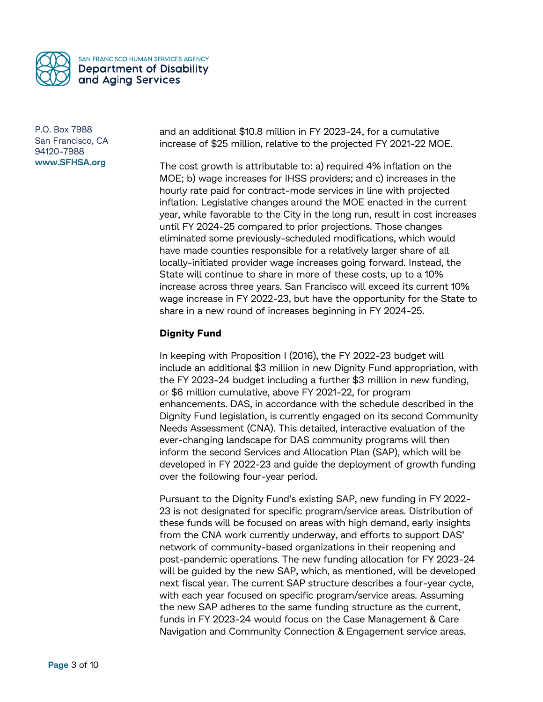

and an additional \$10.8 million in FY 2023-24, for a cumulative increase of \$25 million, relative to the projected FY 2021-22 MOE.

The cost growth is attributable to: a) required 4% inflation on the MOE; b) wage increases for IHSS providers; and c) increases in the hourly rate paid for contract-mode services in line with projected inflation. Legislative changes around the MOE enacted in the current year, while favorable to the City in the long run, result in cost increases until FY 2024-25 compared to prior projections. Those changes eliminated some previously-scheduled modifications, which would have made counties responsible for a relatively larger share of all locally-initiated provider wage increases going forward. Instead, the State will continue to share in more of these costs, up to a 10% increase across three years. San Francisco will exceed its current 10% wage increase in FY 2022-23, but have the opportunity for the State to share in a new round of increases beginning in FY 2024-25.

# **Dignity Fund**

In keeping with Proposition I (2016), the FY 2022-23 budget will include an additional \$3 million in new Dignity Fund appropriation, with the FY 2023-24 budget including a further \$3 million in new funding, or \$6 million cumulative, above FY 2021-22, for program enhancements. DAS, in accordance with the schedule described in the Dignity Fund legislation, is currently engaged on its second Community Needs Assessment (CNA). This detailed, interactive evaluation of the ever-changing landscape for DAS community programs will then inform the second Services and Allocation Plan (SAP), which will be developed in FY 2022-23 and guide the deployment of growth funding over the following four-year period.

Pursuant to the Dignity Fund's existing SAP, new funding in FY 2022- 23 is not designated for specific program/service areas. Distribution of these funds will be focused on areas with high demand, early insights from the CNA work currently underway, and efforts to support DAS' network of community-based organizations in their reopening and post-pandemic operations. The new funding allocation for FY 2023-24 will be guided by the new SAP, which, as mentioned, will be developed next fiscal year. The current SAP structure describes a four-year cycle, with each year focused on specific program/service areas. Assuming the new SAP adheres to the same funding structure as the current, funds in FY 2023-24 would focus on the Case Management & Care Navigation and Community Connection & Engagement service areas.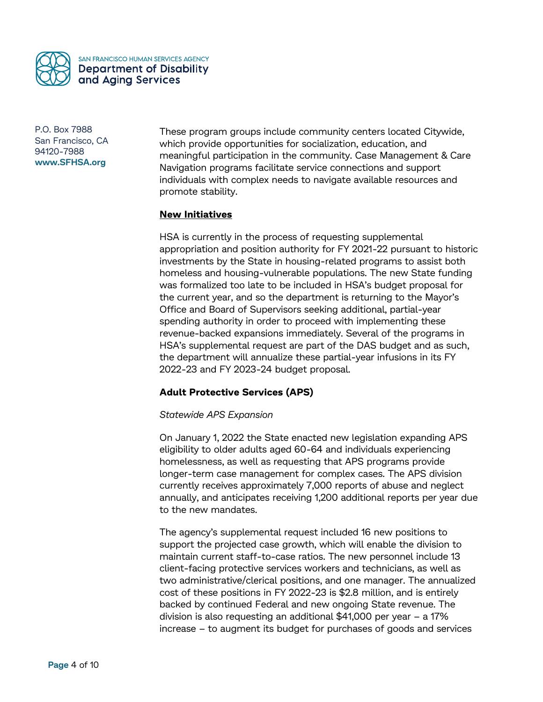

These program groups include community centers located Citywide, which provide opportunities for socialization, education, and meaningful participation in the community. Case Management & Care Navigation programs facilitate service connections and support individuals with complex needs to navigate available resources and promote stability.

## **New Initiatives**

HSA is currently in the process of requesting supplemental appropriation and position authority for FY 2021-22 pursuant to historic investments by the State in housing-related programs to assist both homeless and housing-vulnerable populations. The new State funding was formalized too late to be included in HSA's budget proposal for the current year, and so the department is returning to the Mayor's Office and Board of Supervisors seeking additional, partial-year spending authority in order to proceed with implementing these revenue-backed expansions immediately. Several of the programs in HSA's supplemental request are part of the DAS budget and as such, the department will annualize these partial-year infusions in its FY 2022-23 and FY 2023-24 budget proposal.

# **Adult Protective Services (APS)**

### *Statewide APS Expansion*

On January 1, 2022 the State enacted new legislation expanding APS eligibility to older adults aged 60-64 and individuals experiencing homelessness, as well as requesting that APS programs provide longer-term case management for complex cases. The APS division currently receives approximately 7,000 reports of abuse and neglect annually, and anticipates receiving 1,200 additional reports per year due to the new mandates.

The agency's supplemental request included 16 new positions to support the projected case growth, which will enable the division to maintain current staff-to-case ratios. The new personnel include 13 client-facing protective services workers and technicians, as well as two administrative/clerical positions, and one manager. The annualized cost of these positions in FY 2022-23 is \$2.8 million, and is entirely backed by continued Federal and new ongoing State revenue. The division is also requesting an additional \$41,000 per year – a 17% increase – to augment its budget for purchases of goods and services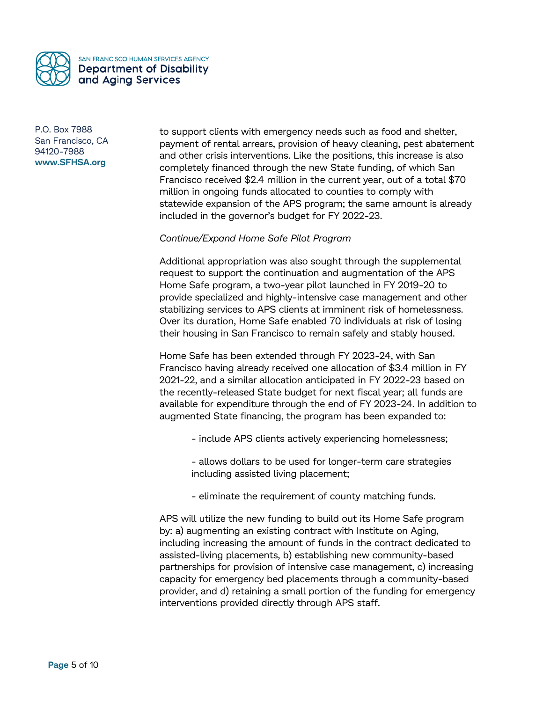

to support clients with emergency needs such as food and shelter, payment of rental arrears, provision of heavy cleaning, pest abatement and other crisis interventions. Like the positions, this increase is also completely financed through the new State funding, of which San Francisco received \$2.4 million in the current year, out of a total \$70 million in ongoing funds allocated to counties to comply with statewide expansion of the APS program; the same amount is already included in the governor's budget for FY 2022-23.

### *Continue/Expand Home Safe Pilot Program*

Additional appropriation was also sought through the supplemental request to support the continuation and augmentation of the APS Home Safe program, a two-year pilot launched in FY 2019-20 to provide specialized and highly-intensive case management and other stabilizing services to APS clients at imminent risk of homelessness. Over its duration, Home Safe enabled 70 individuals at risk of losing their housing in San Francisco to remain safely and stably housed.

Home Safe has been extended through FY 2023-24, with San Francisco having already received one allocation of \$3.4 million in FY 2021-22, and a similar allocation anticipated in FY 2022-23 based on the recently-released State budget for next fiscal year; all funds are available for expenditure through the end of FY 2023-24. In addition to augmented State financing, the program has been expanded to:

- include APS clients actively experiencing homelessness;
- allows dollars to be used for longer-term care strategies including assisted living placement;
- eliminate the requirement of county matching funds.

APS will utilize the new funding to build out its Home Safe program by: a) augmenting an existing contract with Institute on Aging, including increasing the amount of funds in the contract dedicated to assisted-living placements, b) establishing new community-based partnerships for provision of intensive case management, c) increasing capacity for emergency bed placements through a community-based provider, and d) retaining a small portion of the funding for emergency interventions provided directly through APS staff.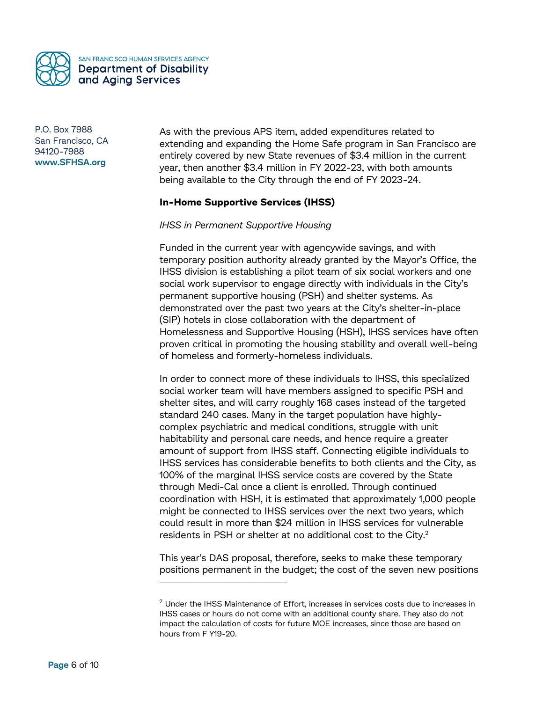

As with the previous APS item, added expenditures related to extending and expanding the Home Safe program in San Francisco are entirely covered by new State revenues of \$3.4 million in the current year, then another \$3.4 million in FY 2022-23, with both amounts being available to the City through the end of FY 2023-24.

## **In-Home Supportive Services (IHSS)**

#### *IHSS in Permanent Supportive Housing*

Funded in the current year with agencywide savings, and with temporary position authority already granted by the Mayor's Office, the IHSS division is establishing a pilot team of six social workers and one social work supervisor to engage directly with individuals in the City's permanent supportive housing (PSH) and shelter systems. As demonstrated over the past two years at the City's shelter-in-place (SIP) hotels in close collaboration with the department of Homelessness and Supportive Housing (HSH), IHSS services have often proven critical in promoting the housing stability and overall well-being of homeless and formerly-homeless individuals.

In order to connect more of these individuals to IHSS, this specialized social worker team will have members assigned to specific PSH and shelter sites, and will carry roughly 168 cases instead of the targeted standard 240 cases. Many in the target population have highlycomplex psychiatric and medical conditions, struggle with unit habitability and personal care needs, and hence require a greater amount of support from IHSS staff. Connecting eligible individuals to IHSS services has considerable benefits to both clients and the City, as 100% of the marginal IHSS service costs are covered by the State through Medi-Cal once a client is enrolled. Through continued coordination with HSH, it is estimated that approximately 1,000 people might be connected to IHSS services over the next two years, which could result in more than \$24 million in IHSS services for vulnerable residents in PSH or shelter at no additional cost to the City. $^2$ 

This year's DAS proposal, therefore, seeks to make these temporary positions permanent in the budget; the cost of the seven new positions

-

 $^2$  Under the IHSS Maintenance of Effort, increases in services costs due to increases in IHSS cases or hours do not come with an additional county share. They also do not impact the calculation of costs for future MOE increases, since those are based on hours from F Y19-20.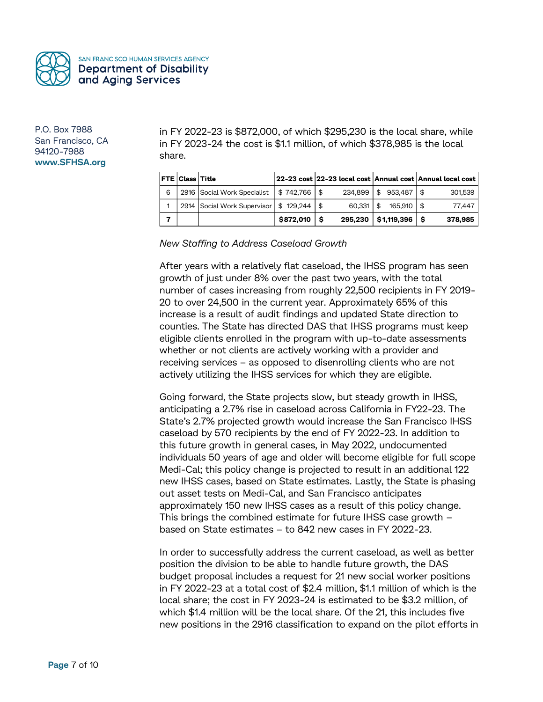

in FY 2022-23 is \$872,000, of which \$295,230 is the local share, while in FY 2023-24 the cost is \$1.1 million, of which \$378,985 is the local share.

|   | <b>FTE Class Title</b> |                                                 |                | 22-23 cost 22-23 local cost Annual cost Annual local cost |         |     |         |
|---|------------------------|-------------------------------------------------|----------------|-----------------------------------------------------------|---------|-----|---------|
| 6 |                        | 2916   Social Work Specialist   \$ 742,766   \$ |                | $234.899$   \$ 953.487   \$                               |         |     | 301.539 |
|   |                        | 2914   Social Work Supervisor   \$ 129,244   \$ |                | $60.331$   \$                                             | 165.910 | . ድ | 77.447  |
|   |                        |                                                 | $$872.010$ $$$ | $295,230$   \$1,119,396   \$                              |         |     | 378,985 |

*New Staffing to Address Caseload Growth*

After years with a relatively flat caseload, the IHSS program has seen growth of just under 8% over the past two years, with the total number of cases increasing from roughly 22,500 recipients in FY 2019- 20 to over 24,500 in the current year. Approximately 65% of this increase is a result of audit findings and updated State direction to counties. The State has directed DAS that IHSS programs must keep eligible clients enrolled in the program with up-to-date assessments whether or not clients are actively working with a provider and receiving services – as opposed to disenrolling clients who are not actively utilizing the IHSS services for which they are eligible.

Going forward, the State projects slow, but steady growth in IHSS, anticipating a 2.7% rise in caseload across California in FY22-23. The State's 2.7% projected growth would increase the San Francisco IHSS caseload by 570 recipients by the end of FY 2022-23. In addition to this future growth in general cases, in May 2022, undocumented individuals 50 years of age and older will become eligible for full scope Medi-Cal; this policy change is projected to result in an additional 122 new IHSS cases, based on State estimates. Lastly, the State is phasing out asset tests on Medi-Cal, and San Francisco anticipates approximately 150 new IHSS cases as a result of this policy change. This brings the combined estimate for future IHSS case growth – based on State estimates – to 842 new cases in FY 2022-23.

In order to successfully address the current caseload, as well as better position the division to be able to handle future growth, the DAS budget proposal includes a request for 21 new social worker positions in FY 2022-23 at a total cost of \$2.4 million, \$1.1 million of which is the local share; the cost in FY 2023-24 is estimated to be \$3.2 million, of which \$1.4 million will be the local share. Of the 21, this includes five new positions in the 2916 classification to expand on the pilot efforts in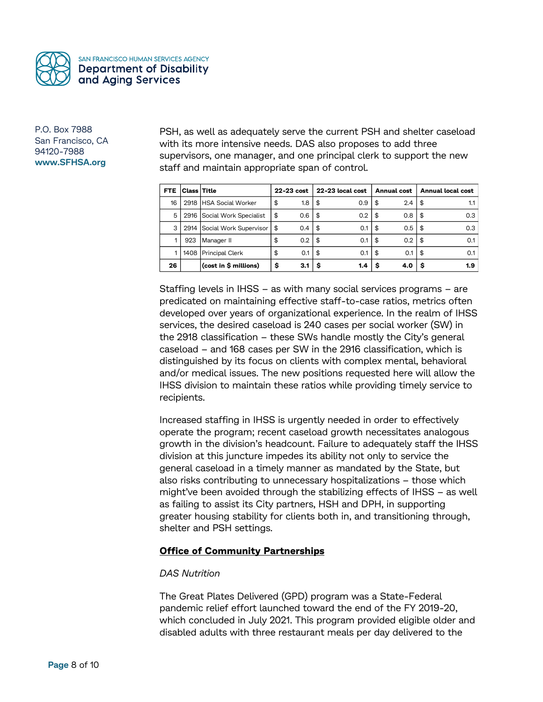

PSH, as well as adequately serve the current PSH and shelter caseload with its more intensive needs. DAS also proposes to add three supervisors, one manager, and one principal clerk to support the new staff and maintain appropriate span of control.

| <b>FTE</b> | <b>Class Title</b> |                             | 22-23 cost |     | 22-23 local cost |     | Annual cost |               | <b>Annual local cost</b> |     |
|------------|--------------------|-----------------------------|------------|-----|------------------|-----|-------------|---------------|--------------------------|-----|
| 16         |                    | 2918 HSA Social Worker      | \$         | 1.8 | \$               | 0.9 | \$          | $2.4^{\circ}$ | \$                       | 1.1 |
| 5          |                    | 2916 Social Work Specialist | \$         | 0.6 | \$               | 0.2 | \$          | 0.8           | \$                       | 0.3 |
| 3          |                    | 2914 Social Work Supervisor | l \$       | 0.4 | \$               | 0.1 | \$          | 0.5           | \$                       | 0.3 |
|            | 923                | Manager II                  | \$         | 0.2 | \$               | 0.1 | \$          | 0.2           | \$                       | 0.1 |
|            |                    | 1408 Principal Clerk        | \$         | 0.1 | \$               | 0.1 | \$          | 0.1           | \$                       | 0.1 |
| 26         |                    | (cost in \$ millions)       | \$         | 3.1 | S                | 1.4 | s           | 4.0           | s                        | 1.9 |

Staffing levels in IHSS – as with many social services programs – are predicated on maintaining effective staff-to-case ratios, metrics often developed over years of organizational experience. In the realm of IHSS services, the desired caseload is 240 cases per social worker (SW) in the 2918 classification – these SWs handle mostly the City's general caseload – and 168 cases per SW in the 2916 classification, which is distinguished by its focus on clients with complex mental, behavioral and/or medical issues. The new positions requested here will allow the IHSS division to maintain these ratios while providing timely service to recipients.

Increased staffing in IHSS is urgently needed in order to effectively operate the program; recent caseload growth necessitates analogous growth in the division's headcount. Failure to adequately staff the IHSS division at this juncture impedes its ability not only to service the general caseload in a timely manner as mandated by the State, but also risks contributing to unnecessary hospitalizations – those which might've been avoided through the stabilizing effects of IHSS – as well as failing to assist its City partners, HSH and DPH, in supporting greater housing stability for clients both in, and transitioning through, shelter and PSH settings.

### **Office of Community Partnerships**

### *DAS Nutrition*

The Great Plates Delivered (GPD) program was a State-Federal pandemic relief effort launched toward the end of the FY 2019-20, which concluded in July 2021. This program provided eligible older and disabled adults with three restaurant meals per day delivered to the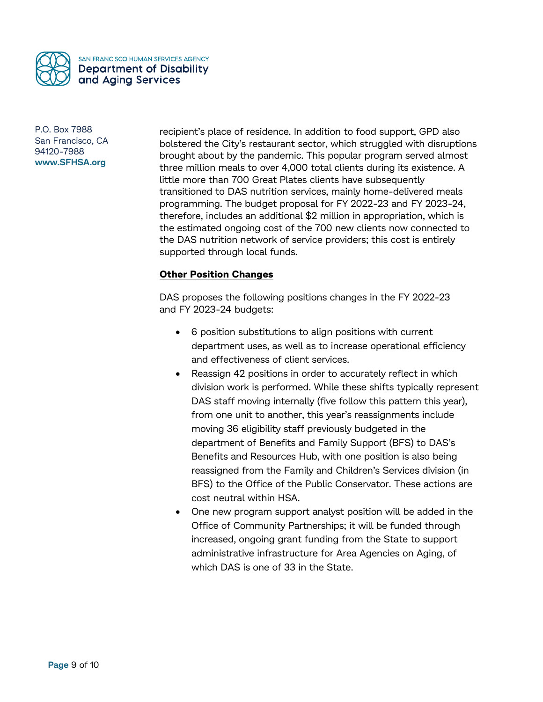

recipient's place of residence. In addition to food support, GPD also bolstered the City's restaurant sector, which struggled with disruptions brought about by the pandemic. This popular program served almost three million meals to over 4,000 total clients during its existence. A little more than 700 Great Plates clients have subsequently transitioned to DAS nutrition services, mainly home-delivered meals programming. The budget proposal for FY 2022-23 and FY 2023-24, therefore, includes an additional \$2 million in appropriation, which is the estimated ongoing cost of the 700 new clients now connected to the DAS nutrition network of service providers; this cost is entirely supported through local funds.

## **Other Position Changes**

DAS proposes the following positions changes in the FY 2022-23 and FY 2023-24 budgets:

- 6 position substitutions to align positions with current department uses, as well as to increase operational efficiency and effectiveness of client services.
- Reassign 42 positions in order to accurately reflect in which division work is performed. While these shifts typically represent DAS staff moving internally (five follow this pattern this year), from one unit to another, this year's reassignments include moving 36 eligibility staff previously budgeted in the department of Benefits and Family Support (BFS) to DAS's Benefits and Resources Hub, with one position is also being reassigned from the Family and Children's Services division (in BFS) to the Office of the Public Conservator. These actions are cost neutral within HSA.
- One new program support analyst position will be added in the Office of Community Partnerships; it will be funded through increased, ongoing grant funding from the State to support administrative infrastructure for Area Agencies on Aging, of which DAS is one of 33 in the State.